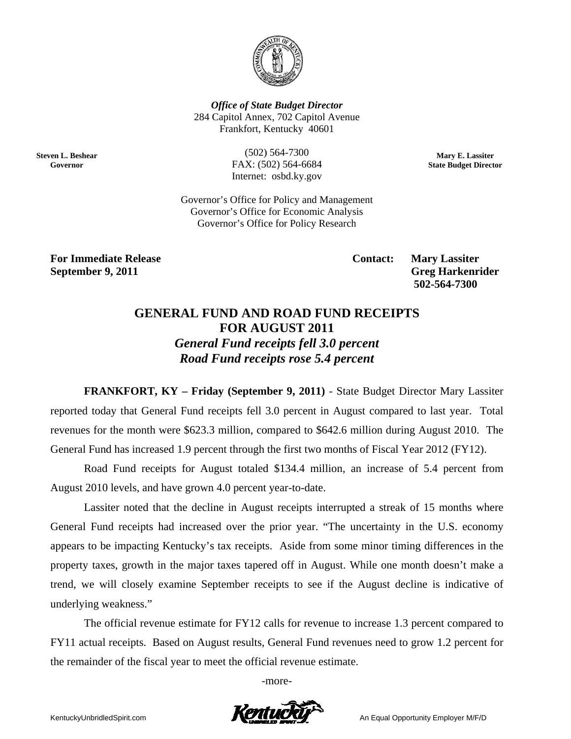

**Office of State Budget Director** 284 Capitol Annex, 702 Capitol Avenue Frankfort, Kentucky 40601

**Steven L. Beshear** Governor

 $(502) 564 - 7300$ FAX: (502) 564-6684 Internet: osbd.ky.gov

Mary E. Lassiter **State Budget Director** 

Governor's Office for Policy and Management Governor's Office for Economic Analysis Governor's Office for Policy Research

**For Immediate Release** September 9, 2011

**Contact:** 

**Mary Lassiter Greg Harkenrider** 502-564-7300

## **GENERAL FUND AND ROAD FUND RECEIPTS FOR AUGUST 2011 General Fund receipts fell 3.0 percent** Road Fund receipts rose 5.4 percent

**FRANKFORT, KY – Friday (September 9, 2011) - State Budget Director Mary Lassiter** reported today that General Fund receipts fell 3.0 percent in August compared to last year. Total revenues for the month were \$623.3 million, compared to \$642.6 million during August 2010. The General Fund has increased 1.9 percent through the first two months of Fiscal Year 2012 (FY12).

Road Fund receipts for August totaled \$134.4 million, an increase of 5.4 percent from August 2010 levels, and have grown 4.0 percent year-to-date.

Lassiter noted that the decline in August receipts interrupted a streak of 15 months where General Fund receipts had increased over the prior year. "The uncertainty in the U.S. economy appears to be impacting Kentucky's tax receipts. Aside from some minor timing differences in the property taxes, growth in the major taxes tapered off in August. While one month doesn't make a trend, we will closely examine September receipts to see if the August decline is indicative of underlying weakness."

The official revenue estimate for FY12 calls for revenue to increase 1.3 percent compared to FY11 actual receipts. Based on August results, General Fund revenues need to grow 1.2 percent for the remainder of the fiscal year to meet the official revenue estimate.

-more-

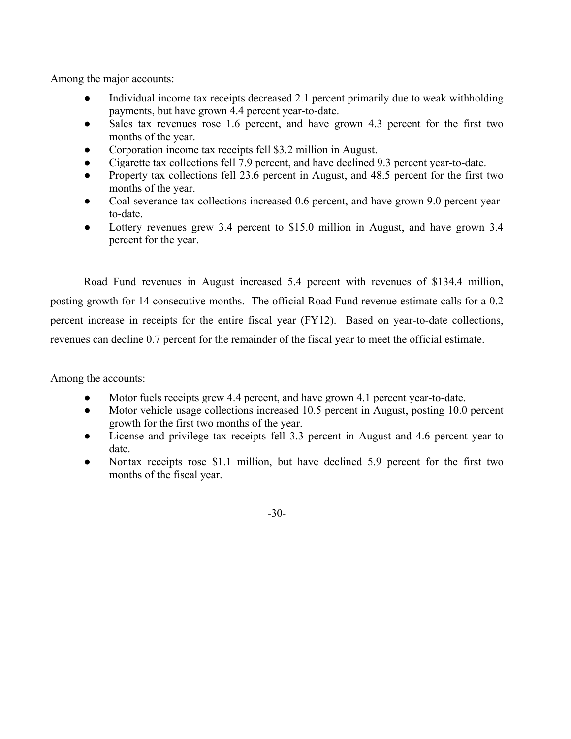Among the major accounts:

- Individual income tax receipts decreased 2.1 percent primarily due to weak withholding payments, but have grown 4.4 percent year-to-date.
- Sales tax revenues rose 1.6 percent, and have grown 4.3 percent for the first two months of the year.
- Corporation income tax receipts fell \$3.2 million in August.
- Cigarette tax collections fell 7.9 percent, and have declined 9.3 percent year-to-date.
- Property tax collections fell 23.6 percent in August, and 48.5 percent for the first two months of the year.
- Coal severance tax collections increased 0.6 percent, and have grown 9.0 percent yearto-date.
- Lottery revenues grew 3.4 percent to \$15.0 million in August, and have grown 3.4 percent for the year.

Road Fund revenues in August increased 5.4 percent with revenues of \$134.4 million, posting growth for 14 consecutive months. The official Road Fund revenue estimate calls for a 0.2 percent increase in receipts for the entire fiscal year (FY12). Based on year-to-date collections, revenues can decline 0.7 percent for the remainder of the fiscal year to meet the official estimate.

Among the accounts:

- Motor fuels receipts grew 4.4 percent, and have grown 4.1 percent year-to-date.
- Motor vehicle usage collections increased 10.5 percent in August, posting 10.0 percent growth for the first two months of the year.
- License and privilege tax receipts fell 3.3 percent in August and 4.6 percent year-to date.
- Nontax receipts rose \$1.1 million, but have declined 5.9 percent for the first two months of the fiscal year.

-30-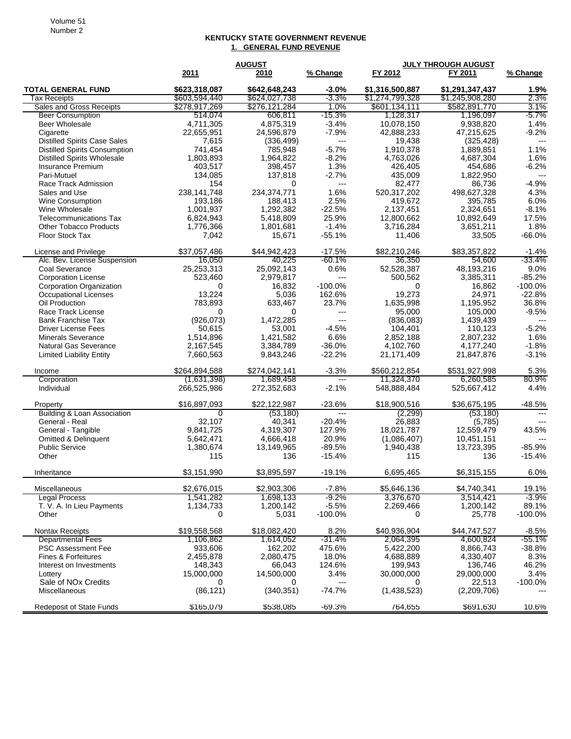## **KENTUCKY STATE GOVERNMENT REVENUE 1. GENERAL FUND REVENUE**

|                                      |               | <b>AUGUST</b> | <b>JULY THROUGH AUGUST</b> |                 |                 |                |
|--------------------------------------|---------------|---------------|----------------------------|-----------------|-----------------|----------------|
|                                      | 2011          | 2010          | % Change                   | FY 2012         | FY 2011         | % Change       |
| <b>TOTAL GENERAL FUND</b>            | \$623.318.087 | \$642,648,243 | $-3.0\%$                   | \$1,316,500,887 | \$1,291,347,437 | 1.9%           |
| Tax Receipts                         | \$603,594,440 | \$624,027,738 | -3.3%                      | \$1,274,799,328 | \$1,245,908,280 | 2.3%           |
| Sales and Gross Receipts             | \$278,917,269 | \$276,121,284 | $1.0\%$                    | \$601,134,111   | \$582,891,770   | 3.1%           |
| <b>Beer Consumption</b>              | 514,074       | 606,811       | $-15.3\%$                  | 1,128,317       | 1,196,097       | -5.7%          |
| <b>Beer Wholesale</b>                | 4,711,305     | 4,875,319     | $-3.4%$                    | 10,078,150      | 9,938,820       | 1.4%           |
| Cigarette                            | 22,655,951    | 24,596,879    | $-7.9%$                    | 42,888,233      | 47,215,625      | $-9.2\%$       |
| <b>Distilled Spirits Case Sales</b>  | 7,615         | (336, 499)    | $---$                      | 19,438          | (325, 428)      | ---            |
| <b>Distilled Spirits Consumption</b> | 741,454       | 785,948       | $-5.7%$                    | 1,910,378       | 1,889,851       | 1.1%           |
| <b>Distilled Spirits Wholesale</b>   | 1,803,893     | 1,964,822     | $-8.2%$                    | 4.763.026       | 4,687,304       | 1.6%           |
| Insurance Premium                    | 403,517       | 398,457       | 1.3%                       | 426,405         | 454,686         | $-6.2%$        |
| Pari-Mutuel                          | 134,085       | 137,818       | $-2.7%$                    | 435,009         | 1,822,950       | $\overline{a}$ |
| Race Track Admission                 | 154           | 0             | $\cdots$                   | 82,477          | 86,736          | $-4.9%$        |
| Sales and Use                        | 238, 141, 748 | 234,374,771   | 1.6%                       | 520,317,202     | 498,627,328     | 4.3%           |
| Wine Consumption                     | 193,186       | 188,413       | 2.5%                       | 419,672         | 395,785         | 6.0%           |
| Wine Wholesale                       | 1,001,937     | 1,292,382     | $-22.5%$                   | 2,137,451       | 2,324,651       | $-8.1%$        |
| <b>Telecommunications Tax</b>        | 6,824,943     | 5,418,809     | 25.9%                      | 12,800,662      | 10,892,649      | 17.5%          |
| <b>Other Tobacco Products</b>        | 1,776,366     | 1,801,681     | $-1.4%$                    | 3,716,284       | 3,651,211       | 1.8%           |
| Floor Stock Tax                      | 7,042         | 15,671        | $-55.1%$                   | 11,406          | 33,505          | $-66.0%$       |
| License and Privilege                | \$37,057,486  | \$44.942.423  | $-17.5%$                   | \$82,210,246    | \$83,357,822    | $-1.4%$        |
| Alc. Bev. License Suspension         | 16.050        | 40,225        | $-60.1%$                   | 36,350          | 54,600          | $-33.4%$       |
| <b>Coal Severance</b>                | 25,253,313    | 25,092,143    | 0.6%                       | 52,528,387      | 48,193,216      | 9.0%           |
| <b>Corporation License</b>           | 523,460       | 2,979,817     | ---                        | 500,562         | 3,385,311       | $-85.2%$       |
| Corporation Organization             | 0             | 16.832        | $-100.0%$                  | 0               | 16.862          | $-100.0%$      |
| <b>Occupational Licenses</b>         | 13,224        | 5,036         | 162.6%                     | 19,273          | 24,971          | $-22.8%$       |
| Oil Production                       | 783,893       | 633,467       | 23.7%                      | 1,635,998       | 1,195,952       | 36.8%          |
| Race Track License                   | 0             | 0             | ---                        | 95,000          | 105,000         | $-9.5%$        |
| <b>Bank Franchise Tax</b>            | (926, 073)    | 1,472,285     | $---$                      | (836,083)       | 1,439,439       |                |
| <b>Driver License Fees</b>           | 50,615        | 53,001        | $-4.5%$                    | 104,401         | 110,123         | $-5.2%$        |
| <b>Minerals Severance</b>            | 1,514,896     | 1,421,582     | 6.6%                       | 2,852,188       | 2,807,232       | 1.6%           |
| <b>Natural Gas Severance</b>         | 2,167,545     | 3,384,789     | $-36.0%$                   | 4,102,760       | 4,177,240       | $-1.8%$        |
| <b>Limited Liability Entity</b>      | 7,660,563     | 9,843,246     | $-22.2%$                   | 21,171,409      | 21,847,876      | $-3.1%$        |
| Income                               | \$264,894,588 | \$274,042,141 | $-3.3%$                    | \$560,212,854   | \$531,927,998   | 5.3%           |
| Corporation                          | (1,631,398)   | 1,689,458     | $---$                      | 11,324,370      | 6,260,585       | 80.9%          |
| Individual                           | 266,525,986   | 272,352,683   | $-2.1%$                    | 548,888,484     | 525,667,412     | 4.4%           |
|                                      |               |               |                            |                 |                 |                |
| Property                             | \$16,897,093  | \$22,122,987  | $-23.6%$                   | \$18,900,516    | \$36,675,195    | $-48.5%$       |
| Building & Loan Association          | 0             | (53, 180)     | $\qquad \qquad - -$        | (2, 299)        | (53, 180)       | $---$          |
| General - Real                       | 32,107        | 40,341        | $-20.4%$                   | 26,883          | (5,785)         | $---$          |
| General - Tangible                   | 9,841,725     | 4,319,307     | 127.9%                     | 18,021,787      | 12,559,479      | 43.5%          |
| Omitted & Delinquent                 | 5,642,471     | 4,666,418     | 20.9%                      | (1,086,407)     | 10,451,151      | ---            |
| <b>Public Service</b>                | 1,380,674     | 13,149,965    | $-89.5%$                   | 1,940,438       | 13,723,395      | $-85.9%$       |
| Other                                | 115           | 136           | $-15.4%$                   | 115             | 136             | $-15.4%$       |
| Inheritance                          | \$3,151,990   | \$3,895,597   | $-19.1%$                   | 6,695,465       | \$6,315,155     | 6.0%           |
| Miscellaneous                        | \$2,676,015   | \$2,903,306   | $-7.8%$                    | \$5,646,136     | \$4,740,341     | 19.1%          |
| <b>Legal Process</b>                 | 1,541,282     | 1,698,133     | $-9.2\%$                   | 3,376,670       | 3,514,421       | $-3.9\%$       |
| T. V. A. In Lieu Payments            | 1,134,733     | 1,200,142     | $-5.5%$                    | 2,269,466       | 1,200,142       | 89.1%          |
| Other                                | 0             | 5,031         | $-100.0\%$                 | 0               | 25,778          | $-100.0\%$     |
| <b>Nontax Receipts</b>               | \$19,558,568  | \$18,082,420  | 8.2%                       | \$40,936,904    | \$44,747,527    | $-8.5%$        |
| <b>Departmental Fees</b>             | 1,106,862     | 1,614,052     | $-31.4%$                   | 2,064,395       | 4,600,824       | $-55.1%$       |
| <b>PSC Assessment Fee</b>            | 933,606       | 162,202       | 475.6%                     | 5,422,200       | 8,866,743       | $-38.8%$       |
| Fines & Forfeitures                  | 2,455,878     | 2,080,475     | 18.0%                      | 4,688,889       | 4,330,407       | 8.3%           |
| Interest on Investments              | 148,343       | 66,043        | 124.6%                     | 199,943         | 136,746         | 46.2%          |
| Lottery                              | 15,000,000    | 14,500,000    | 3.4%                       | 30,000,000      | 29,000,000      | 3.4%           |
| Sale of NO <sub>x</sub> Credits      | 0             | 0             | ---                        | 0               | 22,513          | $-100.0\%$     |
| Miscellaneous                        | (86, 121)     | (340, 351)    | $-74.7%$                   | (1,438,523)     | (2,209,706)     |                |
| Redeposit of State Funds             | \$165,079     | \$538,085     | $-69.3%$                   | 764,655         | \$691,630       | 10.6%          |